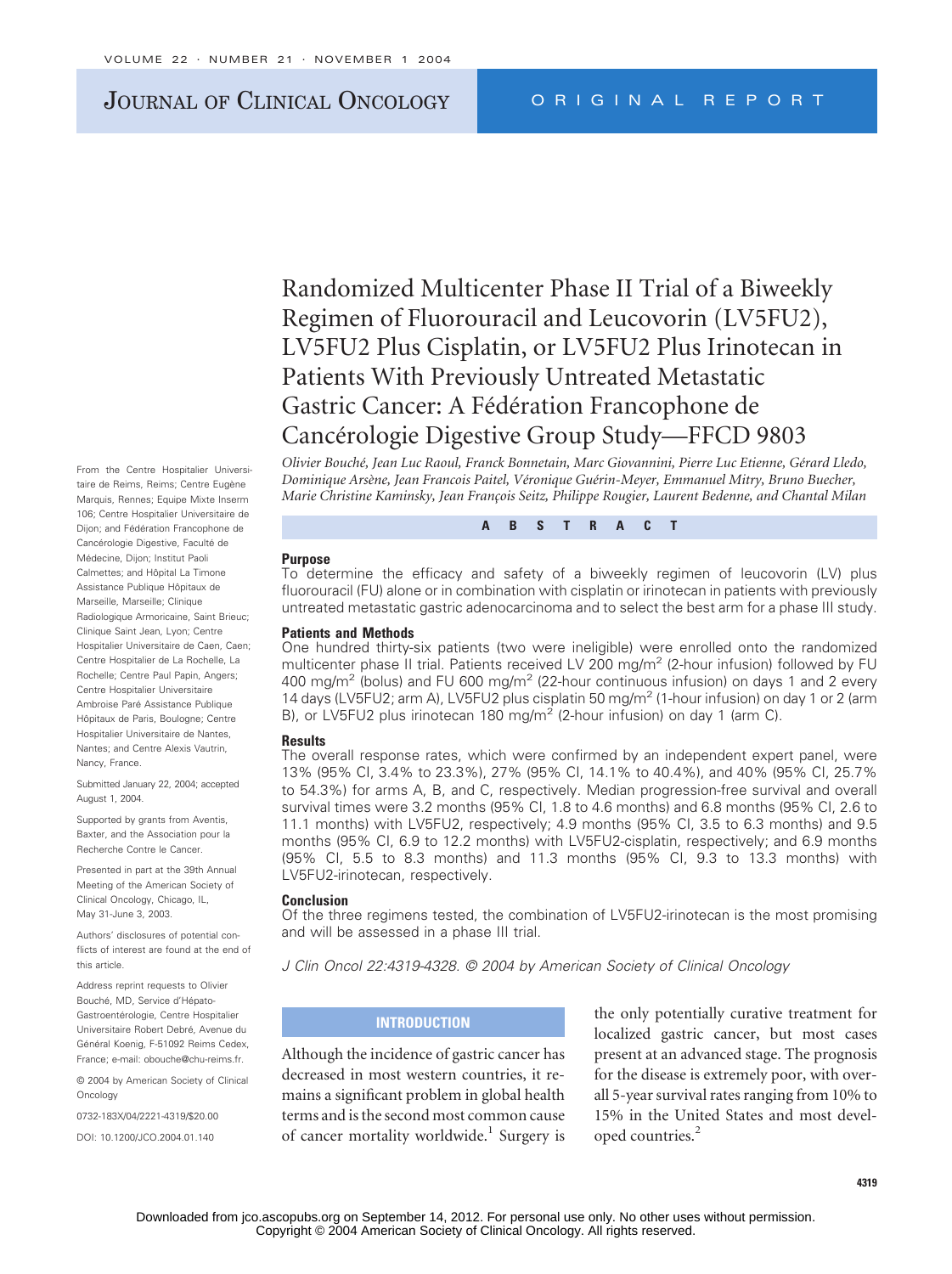# JOURNAL OF CLINICAL ONCOLOGY ORIGINAL REPORT

Randomized Multicenter Phase II Trial of a Biweekly Regimen of Fluorouracil and Leucovorin (LV5FU2), LV5FU2 Plus Cisplatin, or LV5FU2 Plus Irinotecan in Patients With Previously Untreated Metastatic Gastric Cancer: A Fédération Francophone de Cancérologie Digestive Group Study—FFCD 9803

*Olivier Bouché, Jean Luc Raoul, Franck Bonnetain, Marc Giovannini, Pierre Luc Etienne, Gérard Lledo, Dominique Arsène, Jean Francois Paitel, Véronique Guérin-Meyer, Emmanuel Mitry, Bruno Buecher, Marie Christine Kaminsky, Jean François Seitz, Philippe Rougier, Laurent Bedenne, and Chantal Milan* 

**ABSTRACT**

#### **Purpose**

To determine the efficacy and safety of a biweekly regimen of leucovorin (LV) plus fluorouracil (FU) alone or in combination with cisplatin or irinotecan in patients with previously untreated metastatic gastric adenocarcinoma and to select the best arm for a phase III study.

#### **Patients and Methods**

One hundred thirty-six patients (two were ineligible) were enrolled onto the randomized multicenter phase II trial. Patients received LV 200 mg/m<sup>2</sup> (2-hour infusion) followed by FU 400 mg/m<sup>2</sup> (bolus) and FU 600 mg/m<sup>2</sup> (22-hour continuous infusion) on days 1 and 2 every 14 days (LV5FU2; arm A), LV5FU2 plus cisplatin 50 mg/m<sup>2</sup> (1-hour infusion) on day 1 or 2 (arm B), or LV5FU2 plus irinotecan 180 mg/m<sup>2</sup> (2-hour infusion) on day 1 (arm C).

#### **Results**

The overall response rates, which were confirmed by an independent expert panel, were 13% (95% CI, 3.4% to 23.3%), 27% (95% CI, 14.1% to 40.4%), and 40% (95% CI, 25.7% to 54.3%) for arms A, B, and C, respectively. Median progression-free survival and overall survival times were 3.2 months (95% CI, 1.8 to 4.6 months) and 6.8 months (95% CI, 2.6 to 11.1 months) with LV5FU2, respectively; 4.9 months (95% CI, 3.5 to 6.3 months) and 9.5 months (95% CI, 6.9 to 12.2 months) with LV5FU2-cisplatin, respectively; and 6.9 months (95% CI, 5.5 to 8.3 months) and 11.3 months (95% CI, 9.3 to 13.3 months) with LV5FU2-irinotecan, respectively.

#### **Conclusion**

Of the three regimens tested, the combination of LV5FU2-irinotecan is the most promising and will be assessed in a phase III trial.

*J Clin Oncol 22:4319-4328. © 2004 by American Society of Clinical Oncology*

## **INTRODUCTION**

Although the incidence of gastric cancer has decreased in most western countries, it remains a significant problem in global health terms and is the second most common cause of cancer mortality worldwide.<sup>1</sup> Surgery is the only potentially curative treatment for localized gastric cancer, but most cases present at an advanced stage. The prognosis for the disease is extremely poor, with overall 5-year survival rates ranging from 10% to 15% in the United States and most developed countries.<sup>2</sup>

From the Centre Hospitalier Universitaire de Reims, Reims; Centre Eugène Marquis, Rennes; Equipe Mixte Inserm 106; Centre Hospitalier Universitaire de Dijon; and Fédération Francophone de Cancérologie Digestive, Faculté de Médecine, Dijon; Institut Paoli Calmettes; and Hôpital La Timone Assistance Publique Hôpitaux de Marseille, Marseille; Clinique Radiologique Armoricaine, Saint Brieuc; Clinique Saint Jean, Lyon; Centre Hospitalier Universitaire de Caen, Caen; Centre Hospitalier de La Rochelle, La Rochelle; Centre Paul Papin, Angers; Centre Hospitalier Universitaire Ambroise Paré Assistance Publique Hôpitaux de Paris, Boulogne; Centre Hospitalier Universitaire de Nantes, Nantes; and Centre Alexis Vautrin, Nancy, France.

Submitted January 22, 2004; accepted August 1, 2004.

Supported by grants from Aventis, Baxter, and the Association pour la Recherche Contre le Cancer.

Presented in part at the 39th Annual Meeting of the American Society of Clinical Oncology, Chicago, IL, May 31-June 3, 2003.

Authors' disclosures of potential conflicts of interest are found at the end of this article.

Address reprint requests to Olivier Bouché, MD, Service d'Hépato-Gastroentérologie, Centre Hospitalier Universitaire Robert Debré, Avenue du Général Koenig, F-51092 Reims Cedex, France; e-mail: obouche@chu-reims.fr.

© 2004 by American Society of Clinical Oncology

0732-183X/04/2221-4319/\$20.00

DOI: 10.1200/JCO.2004.01.140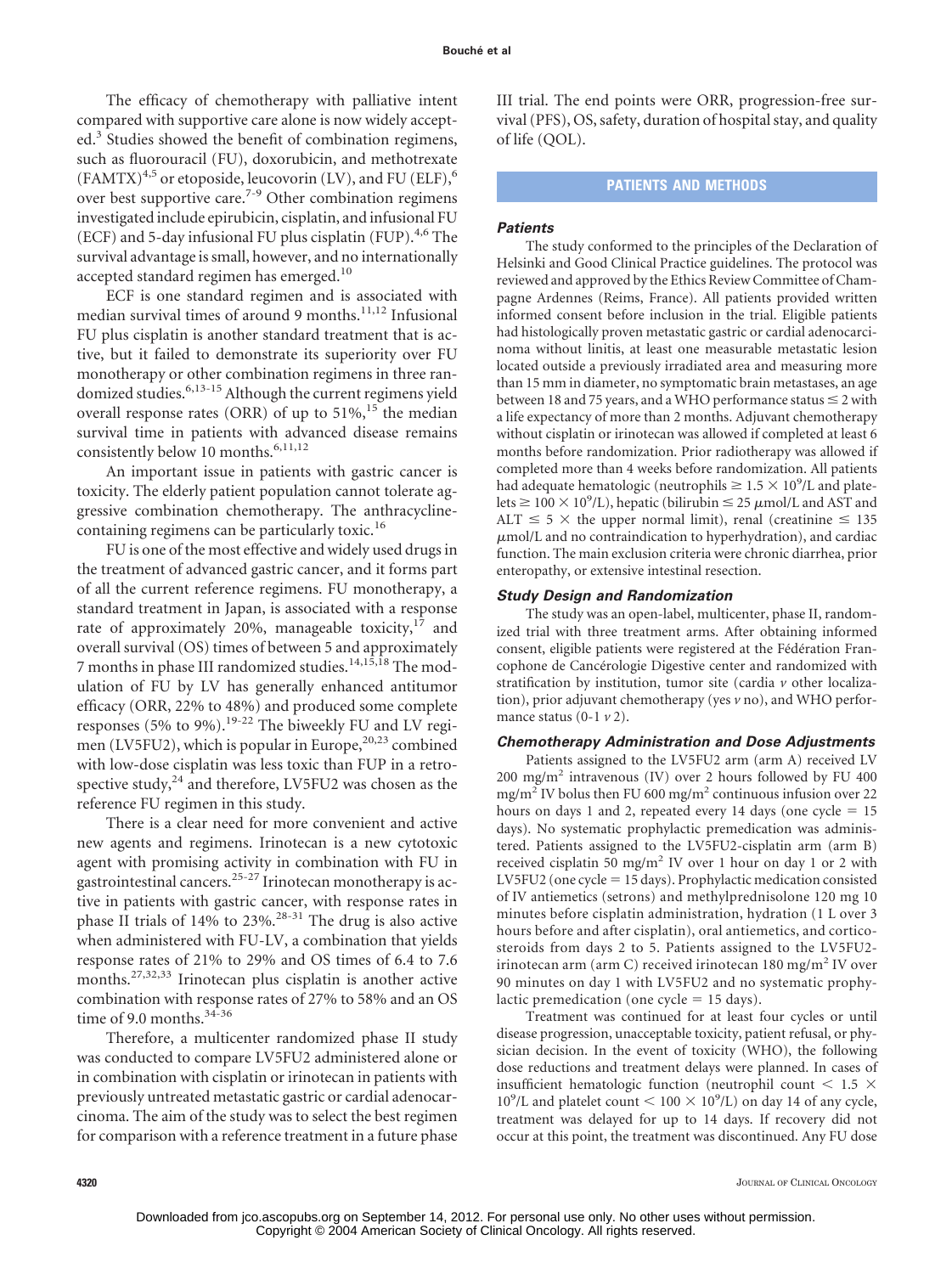The efficacy of chemotherapy with palliative intent compared with supportive care alone is now widely accepted.<sup>3</sup> Studies showed the benefit of combination regimens, such as fluorouracil (FU), doxorubicin, and methotrexate  $(FAMTX)^{4,5}$  or etoposide, leucovorin (LV), and FU (ELF),<sup>6</sup> over best supportive care.7-9 Other combination regimens investigated include epirubicin, cisplatin, and infusional FU (ECF) and 5-day infusional FU plus cisplatin (FUP).<sup>4,6</sup> The survival advantage is small, however, and no internationally accepted standard regimen has emerged.<sup>10</sup>

ECF is one standard regimen and is associated with median survival times of around 9 months.<sup>11,12</sup> Infusional FU plus cisplatin is another standard treatment that is active, but it failed to demonstrate its superiority over FU monotherapy or other combination regimens in three randomized studies.6,13-15 Although the current regimens yield overall response rates (ORR) of up to  $51\%$ ,<sup>15</sup> the median survival time in patients with advanced disease remains consistently below 10 months.<sup>6,11,12</sup>

An important issue in patients with gastric cancer is toxicity. The elderly patient population cannot tolerate aggressive combination chemotherapy. The anthracyclinecontaining regimens can be particularly toxic.<sup>16</sup>

FU is one of the most effective and widely used drugs in the treatment of advanced gastric cancer, and it forms part of all the current reference regimens. FU monotherapy, a standard treatment in Japan, is associated with a response rate of approximately 20%, manageable toxicity, $17$  and overall survival (OS) times of between 5 and approximately 7 months in phase III randomized studies.<sup>14,15,18</sup> The modulation of FU by LV has generally enhanced antitumor efficacy (ORR, 22% to 48%) and produced some complete responses (5% to 9%).19-22 The biweekly FU and LV regimen (LV5FU2), which is popular in Europe, $20,23$  combined with low-dose cisplatin was less toxic than FUP in a retrospective study,<sup>24</sup> and therefore, LV5FU2 was chosen as the reference FU regimen in this study.

There is a clear need for more convenient and active new agents and regimens. Irinotecan is a new cytotoxic agent with promising activity in combination with FU in gastrointestinal cancers.25-27 Irinotecan monotherapy is active in patients with gastric cancer, with response rates in phase II trials of 14% to 23%.<sup>28-31</sup> The drug is also active when administered with FU-LV, a combination that yields response rates of 21% to 29% and OS times of 6.4 to 7.6 months.27,32,33 Irinotecan plus cisplatin is another active combination with response rates of 27% to 58% and an OS time of 9.0 months.<sup>34-36</sup>

Therefore, a multicenter randomized phase II study was conducted to compare LV5FU2 administered alone or in combination with cisplatin or irinotecan in patients with previously untreated metastatic gastric or cardial adenocarcinoma. The aim of the study was to select the best regimen for comparison with a reference treatment in a future phase

III trial. The end points were ORR, progression-free survival (PFS), OS, safety, duration of hospital stay, and quality of life (QOL).

## **PATIENTS AND METHODS**

## *Patients*

The study conformed to the principles of the Declaration of Helsinki and Good Clinical Practice guidelines. The protocol was reviewed and approved by the Ethics Review Committee of Champagne Ardennes (Reims, France). All patients provided written informed consent before inclusion in the trial. Eligible patients had histologically proven metastatic gastric or cardial adenocarcinoma without linitis, at least one measurable metastatic lesion located outside a previously irradiated area and measuring more than 15 mm in diameter, no symptomatic brain metastases, an age between 18 and 75 years, and a WHO performance status  $\leq$  2 with a life expectancy of more than 2 months. Adjuvant chemotherapy without cisplatin or irinotecan was allowed if completed at least 6 months before randomization. Prior radiotherapy was allowed if completed more than 4 weeks before randomization. All patients had adequate hematologic (neutrophils  $\geq 1.5 \times 10^9$ /L and platelets  $\geq 100 \times 10^9$ /L), hepatic (bilirubin  $\leq 25 \mu$ mol/L and AST and ALT  $\leq$  5  $\times$  the upper normal limit), renal (creatinine  $\leq$  135  $\mu$ mol/L and no contraindication to hyperhydration), and cardiac function. The main exclusion criteria were chronic diarrhea, prior enteropathy, or extensive intestinal resection.

## *Study Design and Randomization*

The study was an open-label, multicenter, phase II, randomized trial with three treatment arms. After obtaining informed consent, eligible patients were registered at the Fédération Francophone de Cancérologie Digestive center and randomized with stratification by institution, tumor site (cardia *v* other localization), prior adjuvant chemotherapy (yes *v* no), and WHO performance status (0-1 *v* 2).

#### *Chemotherapy Administration and Dose Adjustments*

Patients assigned to the LV5FU2 arm (arm A) received LV 200 mg/m2 intravenous (IV) over 2 hours followed by FU 400 mg/m<sup>2</sup> IV bolus then FU 600 mg/m<sup>2</sup> continuous infusion over 22 hours on days 1 and 2, repeated every 14 days (one  $cycle = 15$ days). No systematic prophylactic premedication was administered. Patients assigned to the LV5FU2-cisplatin arm (arm B) received cisplatin 50 mg/m<sup>2</sup> IV over 1 hour on day 1 or 2 with LV5FU2 (one cycle = 15 days). Prophylactic medication consisted of IV antiemetics (setrons) and methylprednisolone 120 mg 10 minutes before cisplatin administration, hydration (1 L over 3 hours before and after cisplatin), oral antiemetics, and corticosteroids from days 2 to 5. Patients assigned to the LV5FU2 irinotecan arm (arm C) received irinotecan  $180 \text{ mg/m}^2$  IV over 90 minutes on day 1 with LV5FU2 and no systematic prophylactic premedication (one cycle  $= 15$  days).

Treatment was continued for at least four cycles or until disease progression, unacceptable toxicity, patient refusal, or physician decision. In the event of toxicity (WHO), the following dose reductions and treatment delays were planned. In cases of insufficient hematologic function (neutrophil count  $\leq$  1.5  $\times$  $10^9$ /L and platelet count <  $100 \times 10^9$ /L) on day 14 of any cycle, treatment was delayed for up to 14 days. If recovery did not occur at this point, the treatment was discontinued. Any FU dose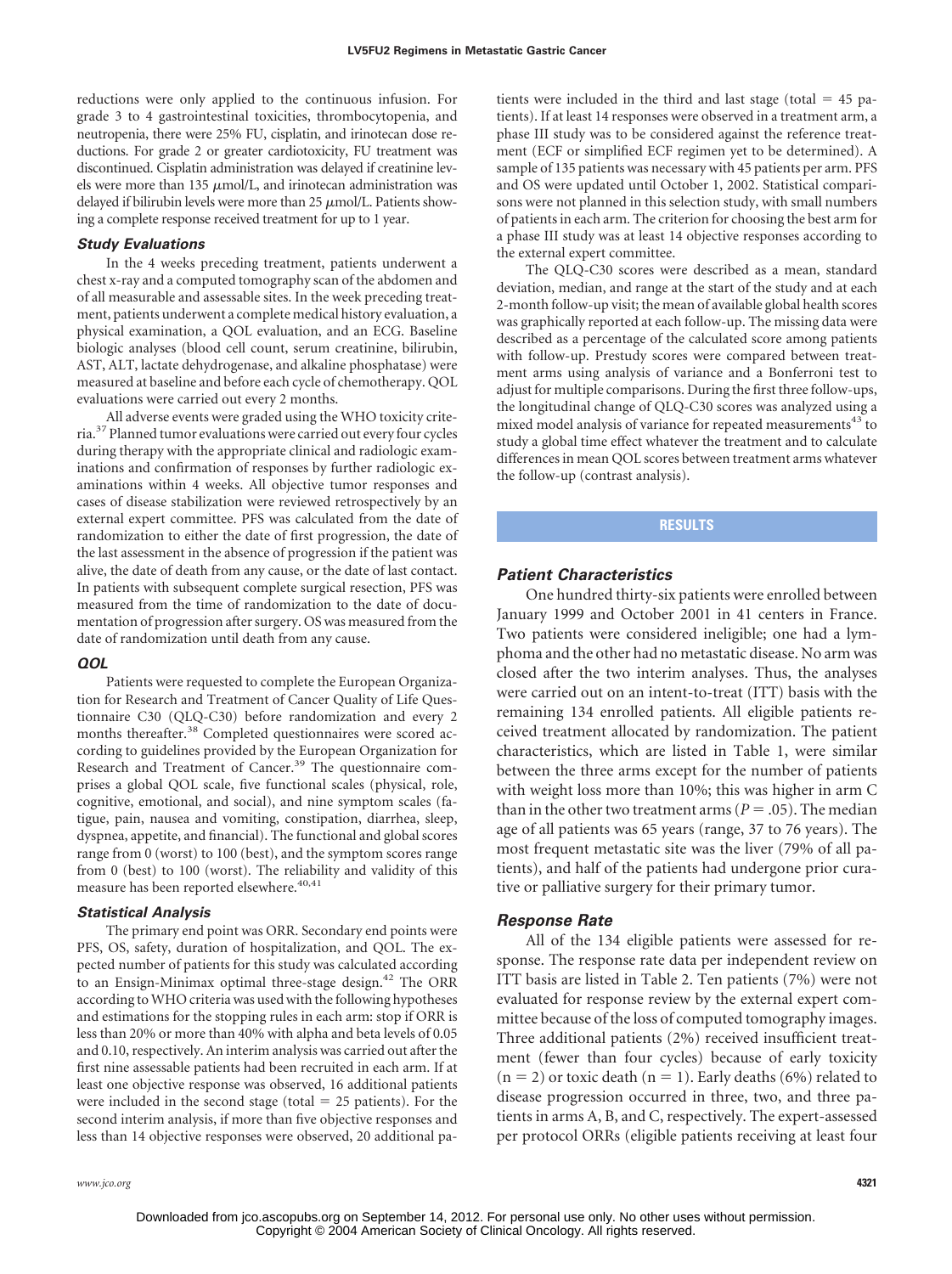reductions were only applied to the continuous infusion. For grade 3 to 4 gastrointestinal toxicities, thrombocytopenia, and neutropenia, there were 25% FU, cisplatin, and irinotecan dose reductions. For grade 2 or greater cardiotoxicity, FU treatment was discontinued. Cisplatin administration was delayed if creatinine levels were more than 135  $\mu$ mol/L, and irinotecan administration was delayed if bilirubin levels were more than  $25 \mu$ mol/L. Patients showing a complete response received treatment for up to 1 year.

#### *Study Evaluations*

In the 4 weeks preceding treatment, patients underwent a chest x-ray and a computed tomography scan of the abdomen and of all measurable and assessable sites. In the week preceding treatment, patients underwent a complete medical history evaluation, a physical examination, a QOL evaluation, and an ECG. Baseline biologic analyses (blood cell count, serum creatinine, bilirubin, AST, ALT, lactate dehydrogenase, and alkaline phosphatase) were measured at baseline and before each cycle of chemotherapy. QOL evaluations were carried out every 2 months.

All adverse events were graded using the WHO toxicity criteria.37Planned tumor evaluations were carried out every four cycles during therapy with the appropriate clinical and radiologic examinations and confirmation of responses by further radiologic examinations within 4 weeks. All objective tumor responses and cases of disease stabilization were reviewed retrospectively by an external expert committee. PFS was calculated from the date of randomization to either the date of first progression, the date of the last assessment in the absence of progression if the patient was alive, the date of death from any cause, or the date of last contact. In patients with subsequent complete surgical resection, PFS was measured from the time of randomization to the date of documentation of progression after surgery. OS was measured from the date of randomization until death from any cause.

#### *QOL*

Patients were requested to complete the European Organization for Research and Treatment of Cancer Quality of Life Questionnaire C30 (QLQ-C30) before randomization and every 2 months thereafter.<sup>38</sup> Completed questionnaires were scored according to guidelines provided by the European Organization for Research and Treatment of Cancer.<sup>39</sup> The questionnaire comprises a global QOL scale, five functional scales (physical, role, cognitive, emotional, and social), and nine symptom scales (fatigue, pain, nausea and vomiting, constipation, diarrhea, sleep, dyspnea, appetite, and financial). The functional and global scores range from 0 (worst) to 100 (best), and the symptom scores range from 0 (best) to 100 (worst). The reliability and validity of this measure has been reported elsewhere.<sup>40,41</sup>

#### *Statistical Analysis*

The primary end point was ORR. Secondary end points were PFS, OS, safety, duration of hospitalization, and QOL. The expected number of patients for this study was calculated according to an Ensign-Minimax optimal three-stage design.42 The ORR according to WHO criteria was used with the following hypotheses and estimations for the stopping rules in each arm: stop if ORR is less than 20% or more than 40% with alpha and beta levels of 0.05 and 0.10, respectively. An interim analysis was carried out after the first nine assessable patients had been recruited in each arm. If at least one objective response was observed, 16 additional patients were included in the second stage (total  $= 25$  patients). For the second interim analysis, if more than five objective responses and less than 14 objective responses were observed, 20 additional pa-

tients were included in the third and last stage (total  $=$  45 patients). If at least 14 responses were observed in a treatment arm, a phase III study was to be considered against the reference treatment (ECF or simplified ECF regimen yet to be determined). A sample of 135 patients was necessary with 45 patients per arm. PFS and OS were updated until October 1, 2002. Statistical comparisons were not planned in this selection study, with small numbers of patients in each arm. The criterion for choosing the best arm for a phase III study was at least 14 objective responses according to the external expert committee.

The QLQ-C30 scores were described as a mean, standard deviation, median, and range at the start of the study and at each 2-month follow-up visit; the mean of available global health scores was graphically reported at each follow-up. The missing data were described as a percentage of the calculated score among patients with follow-up. Prestudy scores were compared between treatment arms using analysis of variance and a Bonferroni test to adjust for multiple comparisons. During the first three follow-ups, the longitudinal change of QLQ-C30 scores was analyzed using a mixed model analysis of variance for repeated measurements<sup>43</sup> to study a global time effect whatever the treatment and to calculate differences in mean QOL scores between treatment arms whatever the follow-up (contrast analysis).

#### **RESULTS**

## *Patient Characteristics*

One hundred thirty-six patients were enrolled between January 1999 and October 2001 in 41 centers in France. Two patients were considered ineligible; one had a lymphoma and the other had no metastatic disease. No arm was closed after the two interim analyses. Thus, the analyses were carried out on an intent-to-treat (ITT) basis with the remaining 134 enrolled patients. All eligible patients received treatment allocated by randomization. The patient characteristics, which are listed in Table 1, were similar between the three arms except for the number of patients with weight loss more than 10%; this was higher in arm C than in the other two treatment arms ( $P = .05$ ). The median age of all patients was 65 years (range, 37 to 76 years). The most frequent metastatic site was the liver (79% of all patients), and half of the patients had undergone prior curative or palliative surgery for their primary tumor.

#### *Response Rate*

All of the 134 eligible patients were assessed for response. The response rate data per independent review on ITT basis are listed in Table 2. Ten patients (7%) were not evaluated for response review by the external expert committee because of the loss of computed tomography images. Three additional patients (2%) received insufficient treatment (fewer than four cycles) because of early toxicity  $(n = 2)$  or toxic death  $(n = 1)$ . Early deaths (6%) related to disease progression occurred in three, two, and three patients in arms A, B, and C, respectively. The expert-assessed per protocol ORRs (eligible patients receiving at least four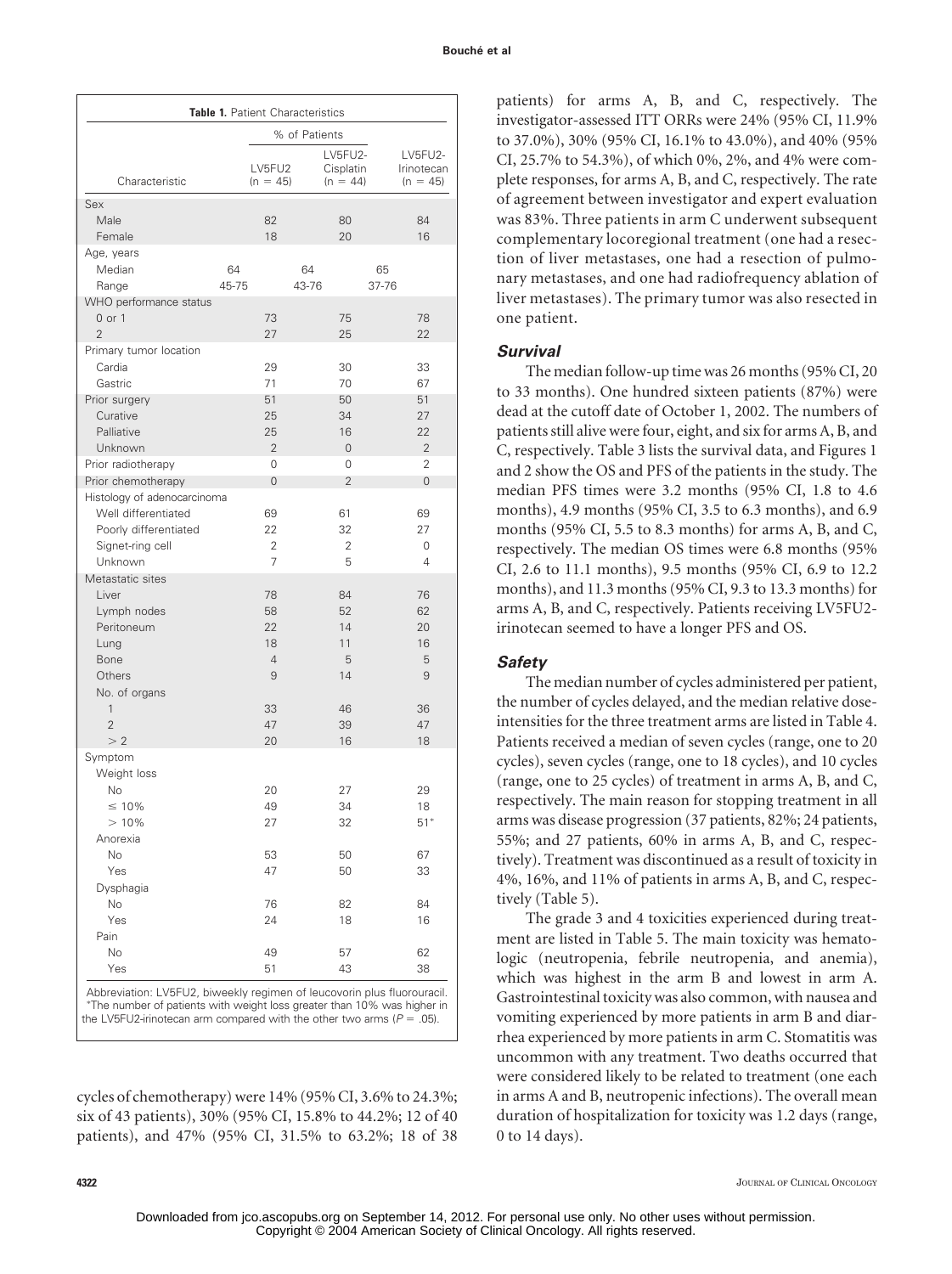| <b>Table 1. Patient Characteristics</b> |             |                      |             |                                    |             |                                     |
|-----------------------------------------|-------------|----------------------|-------------|------------------------------------|-------------|-------------------------------------|
|                                         |             | % of Patients        |             |                                    |             |                                     |
| Characteristic                          |             | LV5FU2<br>$(n = 45)$ |             | LV5FU2-<br>Cisplatin<br>$(n = 44)$ |             | LV5FU2-<br>Irinotecan<br>$(n = 45)$ |
| Sex                                     |             |                      |             |                                    |             |                                     |
| Male                                    |             | 82                   |             | 80                                 |             | 84                                  |
| Female                                  |             | 18                   |             | 20                                 |             | 16                                  |
| Age, years                              |             |                      |             |                                    |             |                                     |
| Median                                  | 64<br>45-75 |                      | 64<br>43-76 |                                    | 65<br>37-76 |                                     |
| Range<br>WHO performance status         |             |                      |             |                                    |             |                                     |
| 0 or 1                                  |             | 73                   |             | 75                                 |             | 78                                  |
| $\overline{2}$                          |             | 27                   |             | 25                                 |             | 22                                  |
| Primary tumor location                  |             |                      |             |                                    |             |                                     |
| Cardia                                  |             | 29                   |             | 30                                 |             | 33                                  |
| Gastric                                 |             | 71                   |             | 70                                 |             | 67                                  |
| Prior surgery                           |             | 51                   |             | 50                                 |             | 51                                  |
| Curative                                |             | 25                   |             | 34                                 |             | 27                                  |
| Palliative                              |             | 25                   |             | 16                                 |             | 22                                  |
| Unknown<br>Prior radiotherapy           |             | $\overline{2}$<br>0  |             | $\mathbf{0}$<br>0                  |             | $\overline{2}$<br>2                 |
| Prior chemotherapy                      |             | $\overline{0}$       |             | $\overline{2}$                     |             | 0                                   |
| Histology of adenocarcinoma             |             |                      |             |                                    |             |                                     |
| Well differentiated                     |             | 69                   |             | 61                                 |             | 69                                  |
| Poorly differentiated                   |             | 22                   |             | 32                                 |             | 27                                  |
| Signet-ring cell                        |             | $\overline{2}$       |             | $\overline{2}$                     |             | 0                                   |
| Unknown                                 |             | $\overline{7}$       |             | 5                                  |             | 4                                   |
| Metastatic sites                        |             |                      |             |                                    |             |                                     |
| Liver                                   |             | 78                   |             | 84                                 |             | 76                                  |
| Lymph nodes<br>Peritoneum               |             | 58<br>22             |             | 52<br>14                           |             | 62<br>20                            |
| Lung                                    |             | 18                   |             | 11                                 |             | 16                                  |
| Bone                                    |             | $\overline{4}$       |             | 5                                  |             | 5                                   |
| Others                                  |             | 9                    |             | 14                                 |             | 9                                   |
| No. of organs                           |             |                      |             |                                    |             |                                     |
| 1                                       |             | 33                   |             | 46                                 |             | 36                                  |
| $\overline{2}$                          |             | 47                   |             | 39                                 |             | 47                                  |
| >2                                      |             | 20                   |             | 16                                 |             | 18                                  |
| Symptom                                 |             |                      |             |                                    |             |                                     |
| Weight loss<br>No                       |             | 20                   |             | 27                                 |             | 29                                  |
| $\leq 10\%$                             |             | 49                   |             | 34                                 |             | 18                                  |
| >10%                                    |             | 27                   |             | 32                                 |             | $51*$                               |
| Anorexia                                |             |                      |             |                                    |             |                                     |
| No                                      |             | 53                   |             | 50                                 |             | 67                                  |
| Yes                                     |             | 47                   |             | 50                                 |             | 33                                  |
| Dysphagia                               |             |                      |             |                                    |             |                                     |
| No                                      |             | 76                   |             | 82                                 |             | 84                                  |
| Yes                                     |             | 24                   |             | 18                                 |             | 16                                  |
| Pain<br>No                              |             | 49                   |             | 57                                 |             | 62                                  |
| Yes                                     |             | 51                   |             | 43                                 |             | 38                                  |

Abbreviation: LV5FU2, biweekly regimen of leucovorin plus fluorouracil. The number of patients with weight loss greater than 10% was higher in the LV5FU2-irinotecan arm compared with the other two arms ( $P = .05$ ).

cycles of chemotherapy) were 14% (95% CI, 3.6% to 24.3%; six of 43 patients), 30% (95% CI, 15.8% to 44.2%; 12 of 40 patients), and 47% (95% CI, 31.5% to 63.2%; 18 of 38

patients) for arms A, B, and C, respectively. The investigator-assessed ITT ORRs were 24% (95% CI, 11.9% to 37.0%), 30% (95% CI, 16.1% to 43.0%), and 40% (95% CI, 25.7% to 54.3%), of which 0%, 2%, and 4% were complete responses, for arms A, B, and C, respectively. The rate of agreement between investigator and expert evaluation was 83%. Three patients in arm C underwent subsequent complementary locoregional treatment (one had a resection of liver metastases, one had a resection of pulmonary metastases, and one had radiofrequency ablation of liver metastases). The primary tumor was also resected in one patient.

## *Survival*

The median follow-up time was 26 months (95% CI, 20 to 33 months). One hundred sixteen patients (87%) were dead at the cutoff date of October 1, 2002. The numbers of patients still alive were four, eight, and six for arms A, B, and C, respectively. Table 3 lists the survival data, and Figures 1 and 2 show the OS and PFS of the patients in the study. The median PFS times were 3.2 months (95% CI, 1.8 to 4.6 months), 4.9 months (95% CI, 3.5 to 6.3 months), and 6.9 months (95% CI, 5.5 to 8.3 months) for arms A, B, and C, respectively. The median OS times were 6.8 months (95% CI, 2.6 to 11.1 months), 9.5 months (95% CI, 6.9 to 12.2 months), and 11.3 months (95% CI, 9.3 to 13.3 months) for arms A, B, and C, respectively. Patients receiving LV5FU2 irinotecan seemed to have a longer PFS and OS.

## *Safety*

The median number of cycles administered per patient, the number of cycles delayed, and the median relative doseintensities for the three treatment arms are listed in Table 4. Patients received a median of seven cycles (range, one to 20 cycles), seven cycles (range, one to 18 cycles), and 10 cycles (range, one to 25 cycles) of treatment in arms A, B, and C, respectively. The main reason for stopping treatment in all arms was disease progression (37 patients, 82%; 24 patients, 55%; and 27 patients, 60% in arms A, B, and C, respectively). Treatment was discontinued as a result of toxicity in 4%, 16%, and 11% of patients in arms A, B, and C, respectively (Table 5).

The grade 3 and 4 toxicities experienced during treatment are listed in Table 5. The main toxicity was hematologic (neutropenia, febrile neutropenia, and anemia), which was highest in the arm B and lowest in arm A. Gastrointestinal toxicity was also common, with nausea and vomiting experienced by more patients in arm B and diarrhea experienced by more patients in arm C. Stomatitis was uncommon with any treatment. Two deaths occurred that were considered likely to be related to treatment (one each in arms A and B, neutropenic infections). The overall mean duration of hospitalization for toxicity was 1.2 days (range, 0 to 14 days).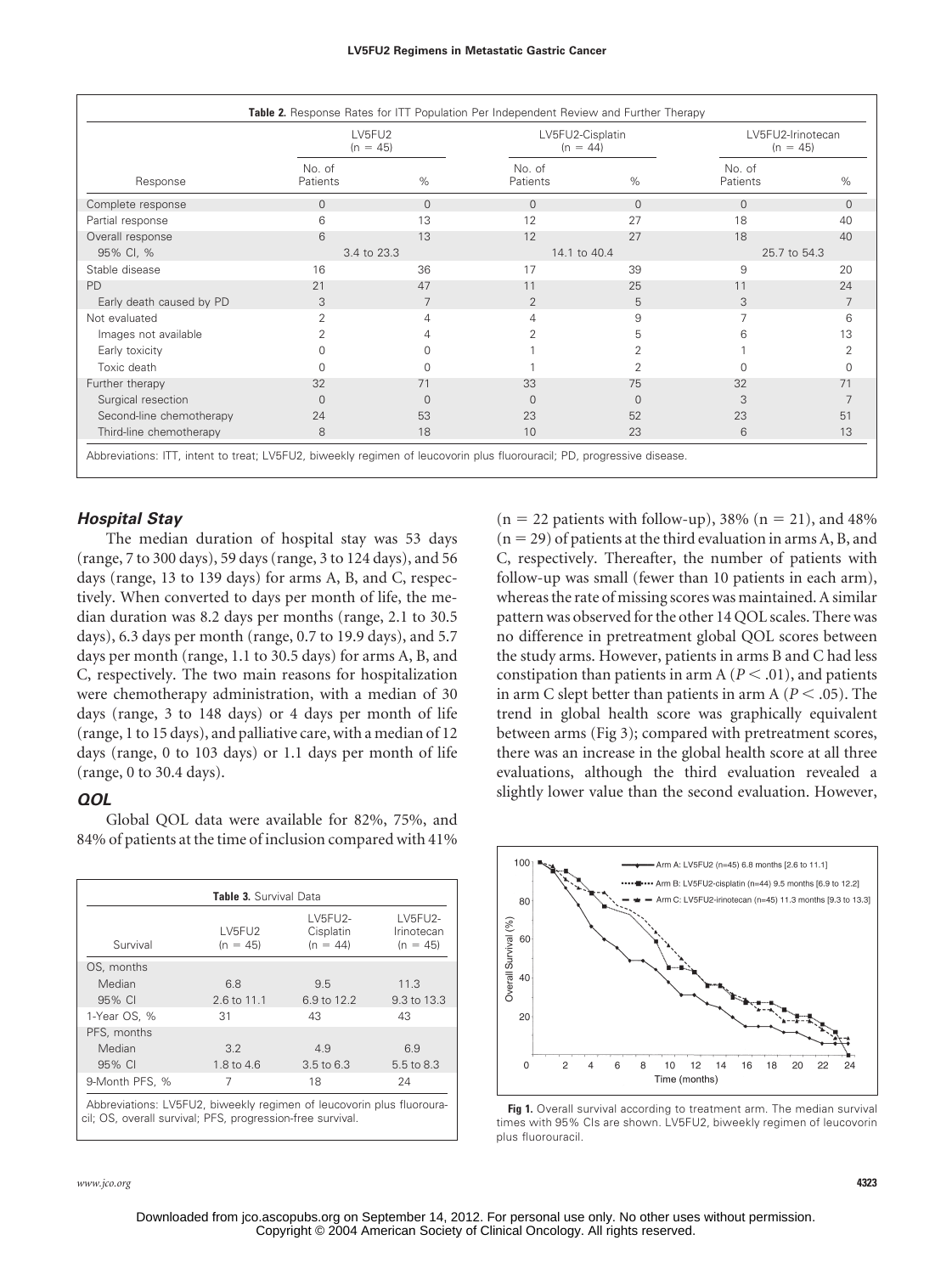| Response                 | LV5FU2<br>$(n = 45)$ |              | LV5FU2-Cisplatin<br>$(n = 44)$ |                | LV5FU2-Irinotecan<br>$(n = 45)$ |          |
|--------------------------|----------------------|--------------|--------------------------------|----------------|---------------------------------|----------|
|                          | No. of<br>Patients   | %            | No. of<br>Patients             | $\%$           | No. of<br>Patients              | %        |
| Complete response        | $\mathbf{0}$         | $\mathbf{0}$ | $\Omega$                       | $\Omega$       | $\Omega$                        | $\Omega$ |
| Partial response         | 6                    | 13           | 12                             | 27             | 18                              | 40       |
| Overall response         | 6                    | 13           | 12                             | 27             | 18                              | 40       |
| 95% CI, %                | 3.4 to 23.3          |              | 14.1 to 40.4                   |                | 25.7 to 54.3                    |          |
| Stable disease           | 16                   | 36           | 17                             | 39             | 9                               | 20       |
| <b>PD</b>                | 21                   | 47           | 11                             | 25             | 11                              | 24       |
| Early death caused by PD | 3                    | 7            | 2                              | 5              | 3                               |          |
| Not evaluated            | 2                    | 4            | 4                              | 9              |                                 | 6        |
| Images not available     | 2                    | 4            | 2                              | 5              | 6                               | 13       |
| Early toxicity           |                      | U            |                                | 2              |                                 | 2        |
| Toxic death              |                      |              |                                | $\overline{2}$ |                                 | O        |
| Further therapy          | 32                   | 71           | 33                             | 75             | 32                              | 71       |
| Surgical resection       | $\Omega$             | $\Omega$     | $\Omega$                       | $\Omega$       | 3                               | 7        |
| Second-line chemotherapy | 24                   | 53           | 23                             | 52             | 23                              | 51       |
| Third-line chemotherapy  | 8                    | 18           | 10                             | 23             | 6                               | 13       |

## *Hospital Stay*

The median duration of hospital stay was 53 days (range, 7 to 300 days), 59 days (range, 3 to 124 days), and 56 days (range, 13 to 139 days) for arms A, B, and C, respectively. When converted to days per month of life, the median duration was 8.2 days per months (range, 2.1 to 30.5 days), 6.3 days per month (range, 0.7 to 19.9 days), and 5.7 days per month (range, 1.1 to 30.5 days) for arms A, B, and C, respectively. The two main reasons for hospitalization were chemotherapy administration, with a median of 30 days (range, 3 to 148 days) or 4 days per month of life (range, 1 to 15 days), and palliative care, with a median of 12 days (range, 0 to 103 days) or 1.1 days per month of life (range, 0 to 30.4 days).

## *QOL*

Global QOL data were available for 82%, 75%, and 84% of patients at the time of inclusion compared with 41%

| Table 3. Survival Data |                      |                                    |                                     |  |
|------------------------|----------------------|------------------------------------|-------------------------------------|--|
| Survival               | LV5FU2<br>$(n = 45)$ | LV5FU2-<br>Cisplatin<br>$(n = 44)$ | LV5FU2-<br>Irinotecan<br>$(n = 45)$ |  |
| OS, months             |                      |                                    |                                     |  |
| Median                 | 6.8                  | 9.5                                | 11.3                                |  |
| 95% CI                 | 2.6 to 11.1          | 6.9 to 12.2                        | 9.3 to 13.3                         |  |
| 1-Year OS, %           | 31                   | 43                                 | 43                                  |  |
| PFS, months            |                      |                                    |                                     |  |
| Median                 | 3.2                  | 4.9                                | 6.9                                 |  |
| $95\%$ Cl              | 1.8 to 4.6           | 3.5 to 6.3                         | 5.5 to 8.3                          |  |
| 9-Month PFS, %         | 7                    | 18                                 | 24                                  |  |

Abbreviations: LV5FU2, biweekly regimen of leucovorin plus fluorouracil; OS, overall survival; PFS, progression-free survival. **Fig 1.** Overall survival according to treatment arm. The median survival

 $(n = 22 \text{ patients with follow-up}),$  38%  $(n = 21)$ , and 48%  $(n = 29)$  of patients at the third evaluation in arms A, B, and C, respectively. Thereafter, the number of patients with follow-up was small (fewer than 10 patients in each arm), whereas the rate of missing scores was maintained. A similar pattern was observed for the other 14 QOL scales. There was no difference in pretreatment global QOL scores between the study arms. However, patients in arms B and C had less constipation than patients in arm  $A$  ( $P < .01$ ), and patients in arm C slept better than patients in arm  $A (P < .05)$ . The trend in global health score was graphically equivalent between arms (Fig 3); compared with pretreatment scores, there was an increase in the global health score at all three evaluations, although the third evaluation revealed a slightly lower value than the second evaluation. However,

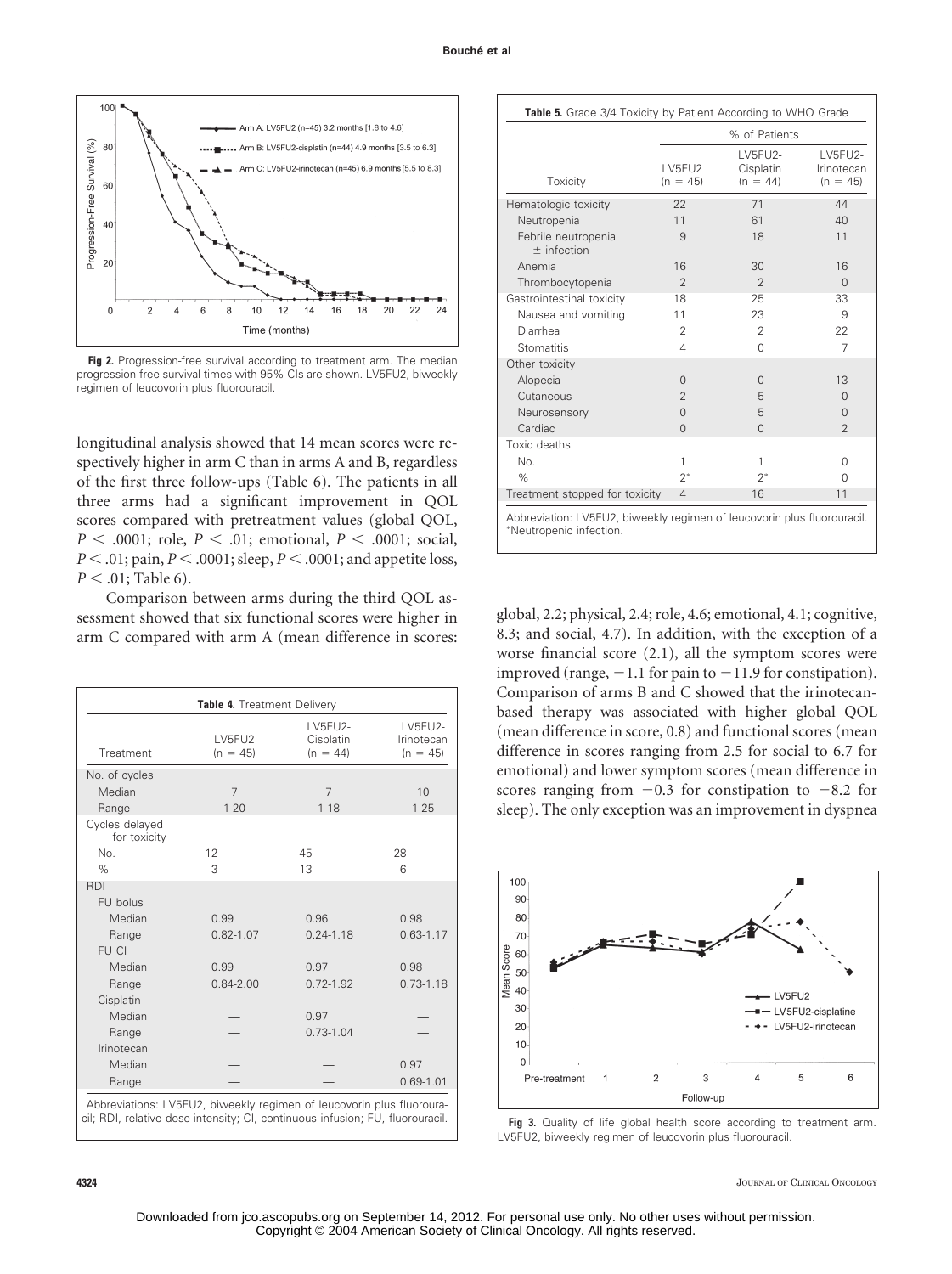

**Fig 2.** Progression-free survival according to treatment arm. The median progression-free survival times with 95% CIs are shown. LV5FU2, biweekly regimen of leucovorin plus fluorouracil.

longitudinal analysis showed that 14 mean scores were respectively higher in arm C than in arms A and B, regardless of the first three follow-ups (Table 6). The patients in all three arms had a significant improvement in QOL scores compared with pretreatment values (global QOL,  $P < .0001$ ; role,  $P < .01$ ; emotional,  $P < .0001$ ; social,  $P < .01$ ; pain,  $P < .0001$ ; sleep,  $P < .0001$ ; and appetite loss,  $P < .01$ ; Table 6).

Comparison between arms during the third QOL assessment showed that six functional scores were higher in arm C compared with arm A (mean difference in scores:

| Table 4. Treatment Delivery               |                      |                                    |                                      |  |  |
|-------------------------------------------|----------------------|------------------------------------|--------------------------------------|--|--|
| Treatment                                 | LV5FU2<br>$(n = 45)$ | LV5FU2-<br>Cisplatin<br>$(n = 44)$ | LV5FU2-<br>Irinotecan<br>$(n = 45)$  |  |  |
| No. of cycles                             |                      |                                    |                                      |  |  |
| Median                                    | $\overline{7}$       | 7                                  | 10                                   |  |  |
| Range                                     | $1 - 20$             | $1 - 18$                           | $1 - 25$                             |  |  |
| Cycles delayed<br>for toxicity            |                      |                                    |                                      |  |  |
| No.                                       | 12                   | 45                                 | 28                                   |  |  |
| $\%$                                      | 3                    | 13                                 | 6                                    |  |  |
| <b>RDI</b>                                |                      |                                    |                                      |  |  |
| FU bolus                                  |                      |                                    |                                      |  |  |
| Median                                    | 0.99                 | 0.96                               | 0.98                                 |  |  |
| Range                                     | $0.82 - 1.07$        | $0.24 - 1.18$                      | $0.63 - 1.17$                        |  |  |
| FU CI                                     |                      |                                    |                                      |  |  |
| Median                                    | 0.99                 | 0.97                               | 0.98                                 |  |  |
| Range                                     | $0.84 - 2.00$        | $0.72 - 1.92$                      | $0.73 - 1.18$                        |  |  |
| Cisplatin                                 |                      |                                    |                                      |  |  |
| Median                                    |                      | 0.97                               |                                      |  |  |
| Range                                     |                      | $0.73 - 1.04$                      |                                      |  |  |
| Irinotecan                                |                      |                                    |                                      |  |  |
| Median                                    |                      |                                    | 0.97                                 |  |  |
| Range                                     |                      |                                    | $0.69 - 1.01$                        |  |  |
| Attraction of the state<br>$1.117 - 1.12$ | $\mathbf{r}$         | $\sim$ $\sim$                      | and the state of the<br>$\mathbf{r}$ |  |  |

Abbreviations: LV5FU2, biweekly regimen of leucovorin plus fluorouracil; RDI, relative dose-intensity; CI, continuous infusion; FU, fluorouracil.

|                                      | % of Patients        |                                    |                                     |  |
|--------------------------------------|----------------------|------------------------------------|-------------------------------------|--|
| Toxicity                             | LV5FU2<br>$(n = 45)$ | LV5FU2-<br>Cisplatin<br>$(n = 44)$ | LV5FU2-<br>Irinotecan<br>$(n = 45)$ |  |
| Hematologic toxicity                 | 22                   | 71                                 | 44                                  |  |
| Neutropenia                          | 11                   | 61                                 | 40                                  |  |
| Febrile neutropenia<br>$±$ infection | 9                    | 18                                 | 11                                  |  |
| Anemia                               | 16                   | 30                                 | 16                                  |  |
| Thrombocytopenia                     | $\overline{2}$       | $\overline{2}$                     | $\Omega$                            |  |
| Gastrointestinal toxicity            | 18                   | 25                                 | 33                                  |  |
| Nausea and vomiting                  | 11                   | 23                                 | 9                                   |  |
| Diarrhea                             | $\overline{2}$       | $\overline{2}$                     | 22                                  |  |
| Stomatitis                           | 4                    | $\Omega$                           | $\overline{7}$                      |  |
| Other toxicity                       |                      |                                    |                                     |  |
| Alopecia                             | $\Omega$             | $\Omega$                           | 13                                  |  |
| Cutaneous                            | $\overline{2}$       | 5                                  | $\Omega$                            |  |
| Neurosensory                         | $\Omega$             | 5                                  | $\Omega$                            |  |
| Cardiac                              | $\Omega$             | $\Omega$                           | $\overline{2}$                      |  |
| Toxic deaths                         |                      |                                    |                                     |  |
| No.                                  | 1                    | 1                                  | $\Omega$                            |  |
| $\%$                                 | $2^*$                | $2^*$                              | $\Omega$                            |  |
| Treatment stopped for toxicity       | $\overline{4}$       | 16                                 | 11                                  |  |

global, 2.2; physical, 2.4; role, 4.6; emotional, 4.1; cognitive, 8.3; and social, 4.7). In addition, with the exception of a worse financial score (2.1), all the symptom scores were improved (range,  $-1.1$  for pain to  $-11.9$  for constipation). Comparison of arms B and C showed that the irinotecanbased therapy was associated with higher global QOL (mean difference in score, 0.8) and functional scores (mean difference in scores ranging from 2.5 for social to 6.7 for emotional) and lower symptom scores (mean difference in scores ranging from  $-0.3$  for constipation to  $-8.2$  for sleep). The only exception was an improvement in dyspnea



Fig 3. Quality of life global health score according to treatment arm. LV5FU2, biweekly regimen of leucovorin plus fluorouracil.

**4324** JOURNAL OF CLINICAL ONCOLOGY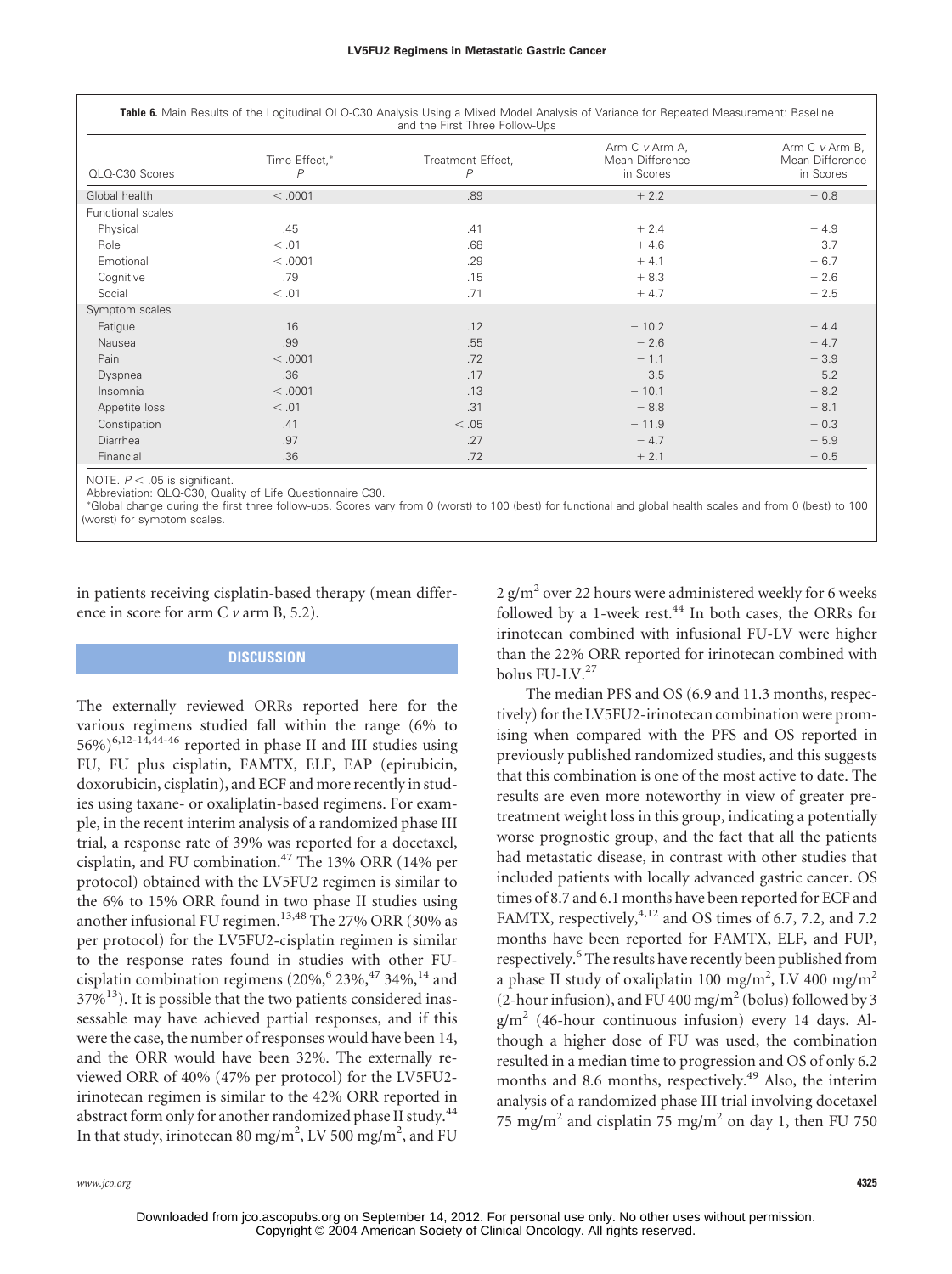| Table 6. Main Results of the Logitudinal QLQ-C30 Analysis Using a Mixed Model Analysis of Variance for Repeated Measurement: Baseline<br>and the First Three Follow-Ups |                    |                        |                                                |                                                |  |
|-------------------------------------------------------------------------------------------------------------------------------------------------------------------------|--------------------|------------------------|------------------------------------------------|------------------------------------------------|--|
| QLQ-C30 Scores                                                                                                                                                          | Time Effect,*<br>P | Treatment Effect,<br>P | Arm C v Arm A,<br>Mean Difference<br>in Scores | Arm C v Arm B,<br>Mean Difference<br>in Scores |  |
| Global health                                                                                                                                                           | < 0.001            | .89                    | $+2.2$                                         | $+0.8$                                         |  |
| <b>Functional scales</b>                                                                                                                                                |                    |                        |                                                |                                                |  |
| Physical                                                                                                                                                                | .45                | .41                    | $+2.4$                                         | $+4.9$                                         |  |
| Role                                                                                                                                                                    | < 0.01             | .68                    | $+4.6$                                         | $+3.7$                                         |  |
| Emotional                                                                                                                                                               | < .0001            | .29                    | $+4.1$                                         | $+6.7$                                         |  |
| Cognitive                                                                                                                                                               | .79                | .15                    | $+8.3$                                         | $+2.6$                                         |  |
| Social                                                                                                                                                                  | < 0.01             | .71                    | $+4.7$                                         | $+2.5$                                         |  |
| Symptom scales                                                                                                                                                          |                    |                        |                                                |                                                |  |
| Fatigue                                                                                                                                                                 | .16                | .12                    | $-10.2$                                        | $-4.4$                                         |  |
| Nausea                                                                                                                                                                  | .99                | .55                    | $-2.6$                                         | $-4.7$                                         |  |
| Pain                                                                                                                                                                    | < .0001            | .72                    | $-1.1$                                         | $-3.9$                                         |  |
| Dyspnea                                                                                                                                                                 | .36                | .17                    | $-3.5$                                         | $+5.2$                                         |  |
| Insomnia                                                                                                                                                                | < .0001            | .13                    | $-10.1$                                        | $-8.2$                                         |  |
| Appetite loss                                                                                                                                                           | < .01              | .31                    | $-8.8$                                         | $-8.1$                                         |  |
| Constipation                                                                                                                                                            | .41                | < 0.05                 | $-11.9$                                        | $-0.3$                                         |  |
| Diarrhea                                                                                                                                                                | .97                | .27                    | $-4.7$                                         | $-5.9$                                         |  |
| Financial                                                                                                                                                               | .36                | .72                    | $+2.1$                                         | $-0.5$                                         |  |

NOTE.  $P < .05$  is significant.

Abbreviation: QLQ-C30, Quality of Life Questionnaire C30.

 Global change during the first three follow-ups. Scores vary from 0 (worst) to 100 (best) for functional and global health scales and from 0 (best) to 100 (worst) for symptom scales.

in patients receiving cisplatin-based therapy (mean difference in score for arm C *v* arm B, 5.2).

## **DISCUSSION**

The externally reviewed ORRs reported here for the various regimens studied fall within the range (6% to  $56\%$ <sup>6,12-14,44-46</sup> reported in phase II and III studies using FU, FU plus cisplatin, FAMTX, ELF, EAP (epirubicin, doxorubicin, cisplatin), and ECF and more recently in studies using taxane- or oxaliplatin-based regimens. For example, in the recent interim analysis of a randomized phase III trial, a response rate of 39% was reported for a docetaxel, cisplatin, and FU combination.<sup>47</sup> The 13% ORR (14% per protocol) obtained with the LV5FU2 regimen is similar to the 6% to 15% ORR found in two phase II studies using another infusional FU regimen.<sup>13,48</sup> The 27% ORR (30% as per protocol) for the LV5FU2-cisplatin regimen is similar to the response rates found in studies with other FUcisplatin combination regimens  $(20\%$ ,  $6\frac{23\%}{34\%}$ ,  $14\frac{1}{14}$  and  $37\%$ <sup>13</sup>). It is possible that the two patients considered inassessable may have achieved partial responses, and if this were the case, the number of responses would have been 14, and the ORR would have been 32%. The externally reviewed ORR of 40% (47% per protocol) for the LV5FU2 irinotecan regimen is similar to the 42% ORR reported in abstract form only for another randomized phase II study.<sup>44</sup> In that study, irinotecan 80 mg/m<sup>2</sup>, LV 500 mg/m<sup>2</sup>, and FU

2  $\text{g/m}^2$  over 22 hours were administered weekly for 6 weeks followed by a 1-week rest. $44$  In both cases, the ORRs for irinotecan combined with infusional FU-LV were higher than the 22% ORR reported for irinotecan combined with bolus FU-LV.<sup>27</sup>

The median PFS and OS (6.9 and 11.3 months, respectively) for the LV5FU2-irinotecan combination were promising when compared with the PFS and OS reported in previously published randomized studies, and this suggests that this combination is one of the most active to date. The results are even more noteworthy in view of greater pretreatment weight loss in this group, indicating a potentially worse prognostic group, and the fact that all the patients had metastatic disease, in contrast with other studies that included patients with locally advanced gastric cancer. OS times of 8.7 and 6.1 months have been reported for ECF and FAMTX, respectively,<sup>4,12</sup> and OS times of 6.7, 7.2, and 7.2 months have been reported for FAMTX, ELF, and FUP, respectively.<sup>6</sup> The results have recently been published from a phase II study of oxaliplatin 100 mg/m<sup>2</sup>, LV 400 mg/m<sup>2</sup> (2-hour infusion), and FU 400 mg/m<sup>2</sup> (bolus) followed by 3  $g/m^2$  (46-hour continuous infusion) every 14 days. Although a higher dose of FU was used, the combination resulted in a median time to progression and OS of only 6.2 months and 8.6 months, respectively.<sup>49</sup> Also, the interim analysis of a randomized phase III trial involving docetaxel 75 mg/m<sup>2</sup> and cisplatin 75 mg/m<sup>2</sup> on day 1, then FU 750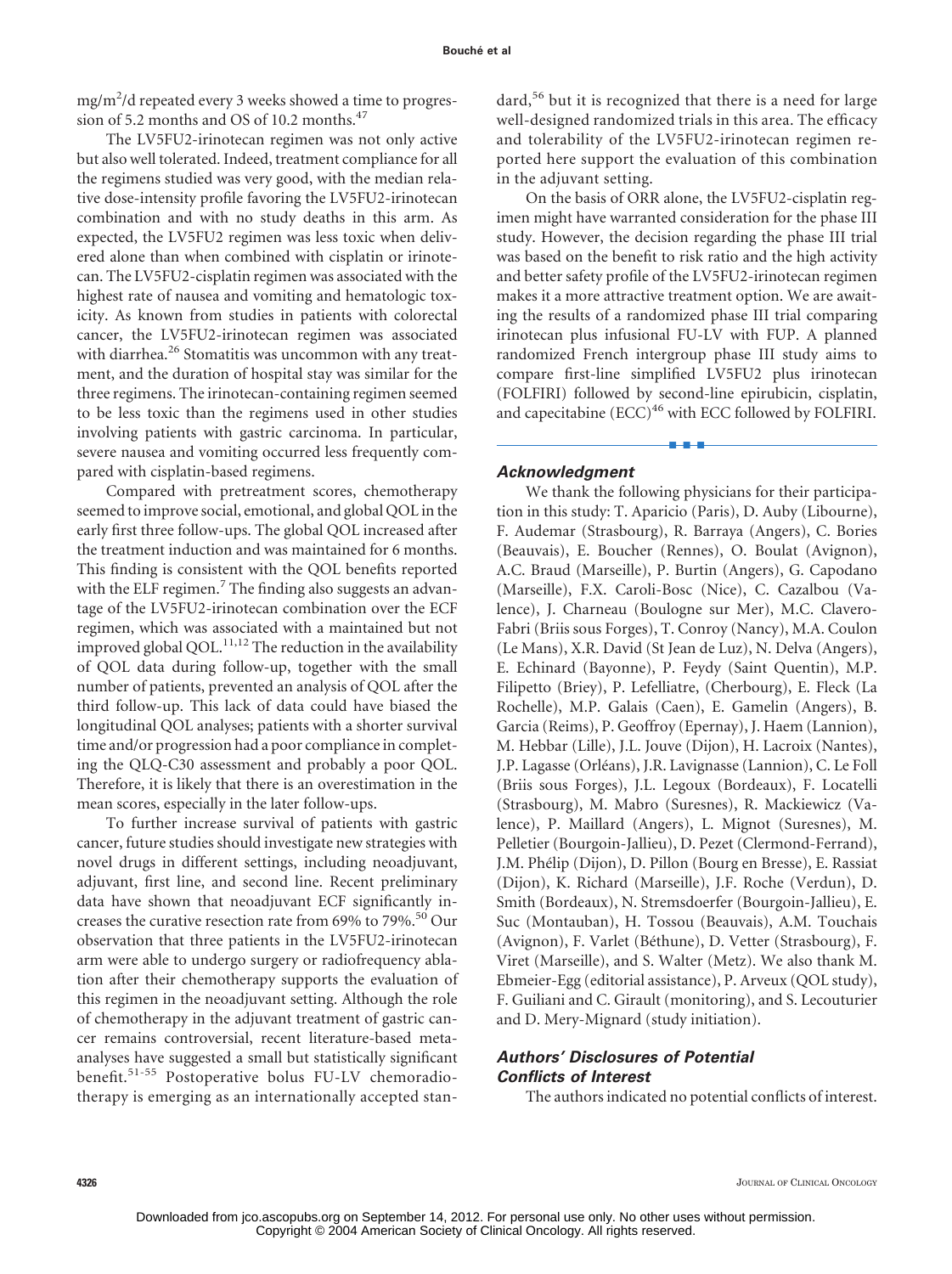mg/m<sup>2</sup>/d repeated every 3 weeks showed a time to progression of 5.2 months and OS of 10.2 months. $47$ 

The LV5FU2-irinotecan regimen was not only active but also well tolerated. Indeed, treatment compliance for all the regimens studied was very good, with the median relative dose-intensity profile favoring the LV5FU2-irinotecan combination and with no study deaths in this arm. As expected, the LV5FU2 regimen was less toxic when delivered alone than when combined with cisplatin or irinotecan. The LV5FU2-cisplatin regimen was associated with the highest rate of nausea and vomiting and hematologic toxicity. As known from studies in patients with colorectal cancer, the LV5FU2-irinotecan regimen was associated with diarrhea.<sup>26</sup> Stomatitis was uncommon with any treatment, and the duration of hospital stay was similar for the three regimens. The irinotecan-containing regimen seemed to be less toxic than the regimens used in other studies involving patients with gastric carcinoma. In particular, severe nausea and vomiting occurred less frequently compared with cisplatin-based regimens.

Compared with pretreatment scores, chemotherapy seemed to improve social, emotional, and global QOL in the early first three follow-ups. The global QOL increased after the treatment induction and was maintained for 6 months. This finding is consistent with the QOL benefits reported with the ELF regimen.<sup>7</sup> The finding also suggests an advantage of the LV5FU2-irinotecan combination over the ECF regimen, which was associated with a maintained but not improved global QOL. $^{11,12}$  The reduction in the availability of QOL data during follow-up, together with the small number of patients, prevented an analysis of QOL after the third follow-up. This lack of data could have biased the longitudinal QOL analyses; patients with a shorter survival time and/or progression had a poor compliance in completing the QLQ-C30 assessment and probably a poor QOL. Therefore, it is likely that there is an overestimation in the mean scores, especially in the later follow-ups.

To further increase survival of patients with gastric cancer, future studies should investigate new strategies with novel drugs in different settings, including neoadjuvant, adjuvant, first line, and second line. Recent preliminary data have shown that neoadjuvant ECF significantly increases the curative resection rate from  $69\%$  to  $79\%$ .<sup>50</sup> Our observation that three patients in the LV5FU2-irinotecan arm were able to undergo surgery or radiofrequency ablation after their chemotherapy supports the evaluation of this regimen in the neoadjuvant setting. Although the role of chemotherapy in the adjuvant treatment of gastric cancer remains controversial, recent literature-based metaanalyses have suggested a small but statistically significant benefit.51-55 Postoperative bolus FU-LV chemoradiotherapy is emerging as an internationally accepted standard,<sup>56</sup> but it is recognized that there is a need for large well-designed randomized trials in this area. The efficacy and tolerability of the LV5FU2-irinotecan regimen reported here support the evaluation of this combination in the adjuvant setting.

On the basis of ORR alone, the LV5FU2-cisplatin regimen might have warranted consideration for the phase III study. However, the decision regarding the phase III trial was based on the benefit to risk ratio and the high activity and better safety profile of the LV5FU2-irinotecan regimen makes it a more attractive treatment option. We are awaiting the results of a randomized phase III trial comparing irinotecan plus infusional FU-LV with FUP. A planned randomized French intergroup phase III study aims to compare first-line simplified LV5FU2 plus irinotecan (FOLFIRI) followed by second-line epirubicin, cisplatin, and capecitabine  $(ECC)^{46}$  with ECC followed by FOLFIRI.

■■■

## *Acknowledgment*

We thank the following physicians for their participation in this study: T. Aparicio (Paris), D. Auby (Libourne), F. Audemar (Strasbourg), R. Barraya (Angers), C. Bories (Beauvais), E. Boucher (Rennes), O. Boulat (Avignon), A.C. Braud (Marseille), P. Burtin (Angers), G. Capodano (Marseille), F.X. Caroli-Bosc (Nice), C. Cazalbou (Valence), J. Charneau (Boulogne sur Mer), M.C. Clavero-Fabri (Briis sous Forges), T. Conroy (Nancy), M.A. Coulon (Le Mans), X.R. David (St Jean de Luz), N. Delva (Angers), E. Echinard (Bayonne), P. Feydy (Saint Quentin), M.P. Filipetto (Briey), P. Lefelliatre, (Cherbourg), E. Fleck (La Rochelle), M.P. Galais (Caen), E. Gamelin (Angers), B. Garcia (Reims), P. Geoffroy (Epernay), J. Haem (Lannion), M. Hebbar (Lille), J.L. Jouve (Dijon), H. Lacroix (Nantes), J.P. Lagasse (Orléans), J.R. Lavignasse (Lannion), C. Le Foll (Briis sous Forges), J.L. Legoux (Bordeaux), F. Locatelli (Strasbourg), M. Mabro (Suresnes), R. Mackiewicz (Valence), P. Maillard (Angers), L. Mignot (Suresnes), M. Pelletier (Bourgoin-Jallieu), D. Pezet (Clermond-Ferrand), J.M. Phélip (Dijon), D. Pillon (Bourg en Bresse), E. Rassiat (Dijon), K. Richard (Marseille), J.F. Roche (Verdun), D. Smith (Bordeaux), N. Stremsdoerfer (Bourgoin-Jallieu), E. Suc (Montauban), H. Tossou (Beauvais), A.M. Touchais (Avignon), F. Varlet (Béthune), D. Vetter (Strasbourg), F. Viret (Marseille), and S. Walter (Metz). We also thank M. Ebmeier-Egg (editorial assistance), P. Arveux (QOL study), F. Guiliani and C. Girault (monitoring), and S. Lecouturier and D. Mery-Mignard (study initiation).

## *Authors' Disclosures of Potential Conflicts of Interest*

The authors indicated no potential conflicts of interest.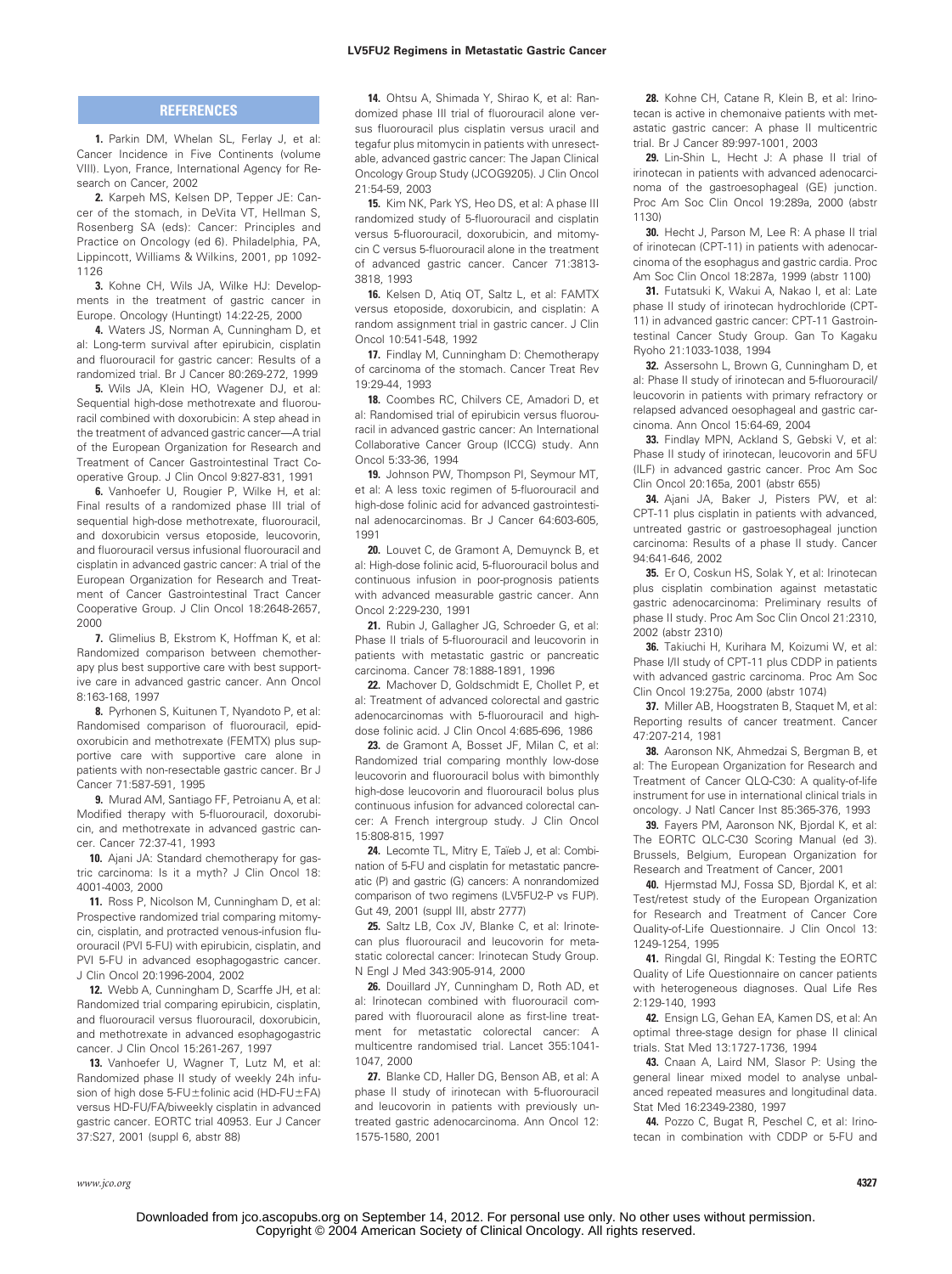#### **LV5FU2 Regimens in Metastatic Gastric Cancer**

#### **REFERENCES**

**1.** Parkin DM, Whelan SL, Ferlay J, et al: Cancer Incidence in Five Continents (volume VIII). Lyon, France, International Agency for Research on Cancer, 2002

**2.** Karpeh MS, Kelsen DP, Tepper JE: Cancer of the stomach, in DeVita VT, Hellman S, Rosenberg SA (eds): Cancer: Principles and Practice on Oncology (ed 6). Philadelphia, PA, Lippincott, Williams & Wilkins, 2001, pp 1092- 1126

**3.** Kohne CH, Wils JA, Wilke HJ: Developments in the treatment of gastric cancer in Europe. Oncology (Huntingt) 14:22-25, 2000

**4.** Waters JS, Norman A, Cunningham D, et al: Long-term survival after epirubicin, cisplatin and fluorouracil for gastric cancer: Results of a randomized trial. Br J Cancer 80:269-272, 1999

**5.** Wils JA, Klein HO, Wagener DJ, et al: Sequential high-dose methotrexate and fluorouracil combined with doxorubicin: A step ahead in the treatment of advanced gastric cancer—A trial of the European Organization for Research and Treatment of Cancer Gastrointestinal Tract Cooperative Group. J Clin Oncol 9:827-831, 1991

**6.** Vanhoefer U, Rougier P, Wilke H, et al: Final results of a randomized phase III trial of sequential high-dose methotrexate, fluorouracil, and doxorubicin versus etoposide, leucovorin, and fluorouracil versus infusional fluorouracil and cisplatin in advanced gastric cancer: A trial of the European Organization for Research and Treatment of Cancer Gastrointestinal Tract Cancer Cooperative Group. J Clin Oncol 18:2648-2657, 2000

**7.** Glimelius B, Ekstrom K, Hoffman K, et al: Randomized comparison between chemotherapy plus best supportive care with best supportive care in advanced gastric cancer. Ann Oncol 8:163-168, 1997

**8.** Pyrhonen S, Kuitunen T, Nyandoto P, et al: Randomised comparison of fluorouracil, epidoxorubicin and methotrexate (FEMTX) plus supportive care with supportive care alone in patients with non-resectable gastric cancer. Br J Cancer 71:587-591, 1995

**9.** Murad AM, Santiago FF, Petroianu A, et al: Modified therapy with 5-fluorouracil, doxorubicin, and methotrexate in advanced gastric cancer. Cancer 72:37-41, 1993

**10.** Ajani JA: Standard chemotherapy for gastric carcinoma: Is it a myth? J Clin Oncol 18: 4001-4003, 2000

**11.** Ross P, Nicolson M, Cunningham D, et al: Prospective randomized trial comparing mitomycin, cisplatin, and protracted venous-infusion fluorouracil (PVI 5-FU) with epirubicin, cisplatin, and PVI 5-FU in advanced esophagogastric cancer. J Clin Oncol 20:1996-2004, 2002

**12.** Webb A, Cunningham D, Scarffe JH, et al: Randomized trial comparing epirubicin, cisplatin, and fluorouracil versus fluorouracil, doxorubicin, and methotrexate in advanced esophagogastric cancer. J Clin Oncol 15:261-267, 1997

**13.** Vanhoefer U, Wagner T, Lutz M, et al: Randomized phase II study of weekly 24h infusion of high dose 5-FU ± folinic acid (HD-FU ± FA) versus HD-FU/FA/biweekly cisplatin in advanced gastric cancer. EORTC trial 40953. Eur J Cancer 37:S27, 2001 (suppl 6, abstr 88)

**14.** Ohtsu A, Shimada Y, Shirao K, et al: Randomized phase III trial of fluorouracil alone versus fluorouracil plus cisplatin versus uracil and tegafur plus mitomycin in patients with unresectable, advanced gastric cancer: The Japan Clinical Oncology Group Study (JCOG9205). J Clin Oncol 21:54-59, 2003

**15.** Kim NK, Park YS, Heo DS, et al: A phase III randomized study of 5-fluorouracil and cisplatin versus 5-fluorouracil, doxorubicin, and mitomycin C versus 5-fluorouracil alone in the treatment of advanced gastric cancer. Cancer 71:3813- 3818, 1993

**16.** Kelsen D, Atiq OT, Saltz L, et al: FAMTX versus etoposide, doxorubicin, and cisplatin: A random assignment trial in gastric cancer. J Clin Oncol 10:541-548, 1992

**17.** Findlay M, Cunningham D: Chemotherapy of carcinoma of the stomach. Cancer Treat Rev 19:29-44, 1993

**18.** Coombes RC, Chilvers CE, Amadori D, et al: Randomised trial of epirubicin versus fluorouracil in advanced gastric cancer: An International Collaborative Cancer Group (ICCG) study. Ann Oncol 5:33-36, 1994

**19.** Johnson PW, Thompson PI, Seymour MT, et al: A less toxic regimen of 5-fluorouracil and high-dose folinic acid for advanced gastrointestinal adenocarcinomas. Br J Cancer 64:603-605, 1991

**20.** Louvet C, de Gramont A, Demuynck B, et al: High-dose folinic acid, 5-fluorouracil bolus and continuous infusion in poor-prognosis patients with advanced measurable gastric cancer. Ann Oncol 2:229-230, 1991

**21.** Rubin J, Gallagher JG, Schroeder G, et al: Phase II trials of 5-fluorouracil and leucovorin in patients with metastatic gastric or pancreatic carcinoma. Cancer 78:1888-1891, 1996

**22.** Machover D, Goldschmidt E, Chollet P, et al: Treatment of advanced colorectal and gastric adenocarcinomas with 5-fluorouracil and highdose folinic acid. J Clin Oncol 4:685-696, 1986

**23.** de Gramont A, Bosset JF, Milan C, et al: Randomized trial comparing monthly low-dose leucovorin and fluorouracil bolus with bimonthly high-dose leucovorin and fluorouracil bolus plus continuous infusion for advanced colorectal cancer: A French intergroup study. J Clin Oncol 15:808-815, 1997

**24.** Lecomte TL, Mitry E, Taïeb J, et al: Combination of 5-FU and cisplatin for metastatic pancreatic (P) and gastric (G) cancers: A nonrandomized comparison of two regimens (LV5FU2-P vs FUP). Gut 49, 2001 (suppl III, abstr 2777)

**25.** Saltz LB, Cox JV, Blanke C, et al: Irinotecan plus fluorouracil and leucovorin for metastatic colorectal cancer: Irinotecan Study Group. N Engl J Med 343:905-914, 2000

**26.** Douillard JY, Cunningham D, Roth AD, et al: Irinotecan combined with fluorouracil compared with fluorouracil alone as first-line treatment for metastatic colorectal cancer: A multicentre randomised trial. Lancet 355:1041- 1047, 2000

**27.** Blanke CD, Haller DG, Benson AB, et al: A phase II study of irinotecan with 5-fluorouracil and leucovorin in patients with previously untreated gastric adenocarcinoma. Ann Oncol 12: 1575-1580, 2001

**28.** Kohne CH, Catane R, Klein B, et al: Irinotecan is active in chemonaive patients with metastatic gastric cancer: A phase II multicentric trial. Br J Cancer 89:997-1001, 2003

**29.** Lin-Shin L, Hecht J: A phase II trial of irinotecan in patients with advanced adenocarcinoma of the gastroesophageal (GE) junction. Proc Am Soc Clin Oncol 19:289a, 2000 (abstr 1130)

**30.** Hecht J, Parson M, Lee R: A phase II trial of irinotecan (CPT-11) in patients with adenocarcinoma of the esophagus and gastric cardia. Proc Am Soc Clin Oncol 18:287a, 1999 (abstr 1100)

**31.** Futatsuki K, Wakui A, Nakao I, et al: Late phase II study of irinotecan hydrochloride (CPT-11) in advanced gastric cancer: CPT-11 Gastrointestinal Cancer Study Group. Gan To Kagaku Ryoho 21:1033-1038, 1994

**32.** Assersohn L, Brown G, Cunningham D, et al: Phase II study of irinotecan and 5-fluorouracil/ leucovorin in patients with primary refractory or relapsed advanced oesophageal and gastric carcinoma. Ann Oncol 15:64-69, 2004

**33.** Findlay MPN, Ackland S, Gebski V, et al: Phase II study of irinotecan, leucovorin and 5FU (ILF) in advanced gastric cancer. Proc Am Soc Clin Oncol 20:165a, 2001 (abstr 655)

**34.** Ajani JA, Baker J, Pisters PW, et al: CPT-11 plus cisplatin in patients with advanced, untreated gastric or gastroesophageal junction carcinoma: Results of a phase II study. Cancer 94:641-646, 2002

**35.** Er O, Coskun HS, Solak Y, et al: Irinotecan plus cisplatin combination against metastatic gastric adenocarcinoma: Preliminary results of phase II study. Proc Am Soc Clin Oncol 21:2310, 2002 (abstr 2310)

**36.** Takiuchi H, Kurihara M, Koizumi W, et al: Phase I/II study of CPT-11 plus CDDP in patients with advanced gastric carcinoma. Proc Am Soc Clin Oncol 19:275a, 2000 (abstr 1074)

**37.** Miller AB, Hoogstraten B, Staquet M, et al: Reporting results of cancer treatment. Cancer 47:207-214, 1981

**38.** Aaronson NK, Ahmedzai S, Bergman B, et al: The European Organization for Research and Treatment of Cancer QLQ-C30: A quality-of-life instrument for use in international clinical trials in oncology. J Natl Cancer Inst 85:365-376, 1993

**39.** Fayers PM, Aaronson NK, Bjordal K, et al: The EORTC QLC-C30 Scoring Manual (ed 3). Brussels, Belgium, European Organization for Research and Treatment of Cancer, 2001

**40.** Hjermstad MJ, Fossa SD, Bjordal K, et al: Test/retest study of the European Organization for Research and Treatment of Cancer Core Quality-of-Life Questionnaire. J Clin Oncol 13: 1249-1254, 1995

**41.** Ringdal GI, Ringdal K: Testing the EORTC Quality of Life Questionnaire on cancer patients with heterogeneous diagnoses. Qual Life Res 2:129-140, 1993

**42.** Ensign LG, Gehan EA, Kamen DS, et al: An optimal three-stage design for phase II clinical trials. Stat Med 13:1727-1736, 1994

**43.** Cnaan A, Laird NM, Slasor P: Using the general linear mixed model to analyse unbalanced repeated measures and longitudinal data. Stat Med 16:2349-2380, 1997

**44.** Pozzo C, Bugat R, Peschel C, et al: Irinotecan in combination with CDDP or 5-FU and